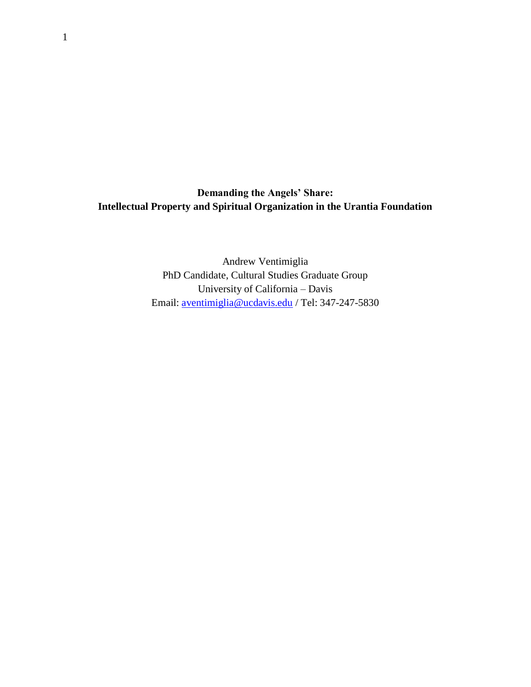**Demanding the Angels' Share: Intellectual Property and Spiritual Organization in the Urantia Foundation**

> Andrew Ventimiglia PhD Candidate, Cultural Studies Graduate Group University of California – Davis Email: [aventimiglia@ucdavis.edu](mailto:aventimiglia@ucdavis.edu) / Tel: 347-247-5830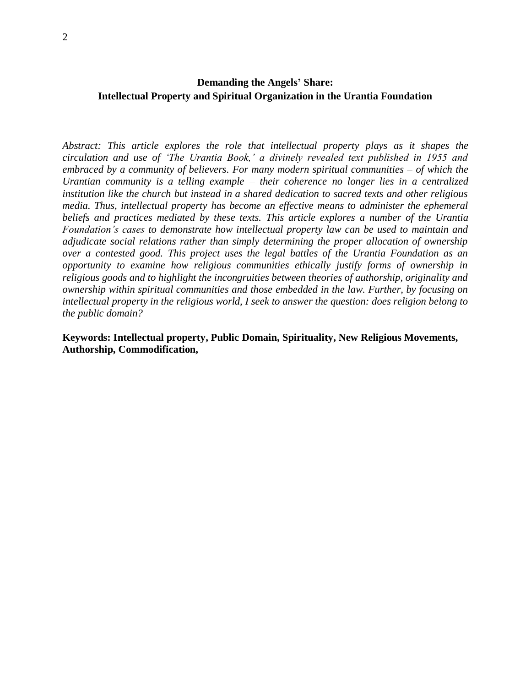# **Demanding the Angels' Share: Intellectual Property and Spiritual Organization in the Urantia Foundation**

*Abstract: This article explores the role that intellectual property plays as it shapes the circulation and use of 'The Urantia Book,' a divinely revealed text published in 1955 and embraced by a community of believers. For many modern spiritual communities – of which the Urantian community is a telling example – their coherence no longer lies in a centralized institution like the church but instead in a shared dedication to sacred texts and other religious media. Thus, intellectual property has become an effective means to administer the ephemeral beliefs and practices mediated by these texts. This article explores a number of the Urantia Foundation's cases to demonstrate how intellectual property law can be used to maintain and adjudicate social relations rather than simply determining the proper allocation of ownership over a contested good. This project uses the legal battles of the Urantia Foundation as an opportunity to examine how religious communities ethically justify forms of ownership in religious goods and to highlight the incongruities between theories of authorship, originality and ownership within spiritual communities and those embedded in the law. Further, by focusing on intellectual property in the religious world, I seek to answer the question: does religion belong to the public domain?* 

**Keywords: Intellectual property, Public Domain, Spirituality, New Religious Movements, Authorship, Commodification,**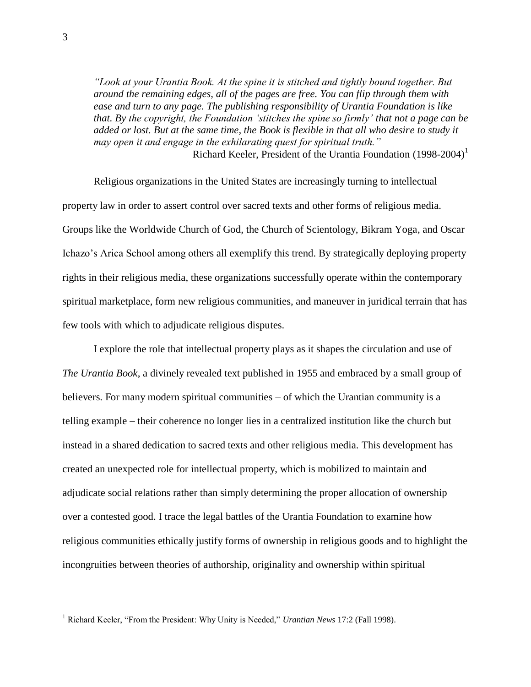*"Look at your Urantia Book. At the spine it is stitched and tightly bound together. But around the remaining edges, all of the pages are free. You can flip through them with ease and turn to any page. The publishing responsibility of Urantia Foundation is like that. By the copyright, the Foundation 'stitches the spine so firmly' that not a page can be*  added or lost. But at the same time, the Book is flexible in that all who desire to study it *may open it and engage in the exhilarating quest for spiritual truth."* – Richard Keeler, President of the Urantia Foundation (1998-2004)<sup>1</sup>

Religious organizations in the United States are increasingly turning to intellectual property law in order to assert control over sacred texts and other forms of religious media. Groups like the Worldwide Church of God, the Church of Scientology, Bikram Yoga, and Oscar Ichazo's Arica School among others all exemplify this trend. By strategically deploying property rights in their religious media, these organizations successfully operate within the contemporary spiritual marketplace, form new religious communities, and maneuver in juridical terrain that has few tools with which to adjudicate religious disputes.

I explore the role that intellectual property plays as it shapes the circulation and use of *The Urantia Book*, a divinely revealed text published in 1955 and embraced by a small group of believers. For many modern spiritual communities – of which the Urantian community is a telling example – their coherence no longer lies in a centralized institution like the church but instead in a shared dedication to sacred texts and other religious media. This development has created an unexpected role for intellectual property, which is mobilized to maintain and adjudicate social relations rather than simply determining the proper allocation of ownership over a contested good. I trace the legal battles of the Urantia Foundation to examine how religious communities ethically justify forms of ownership in religious goods and to highlight the incongruities between theories of authorship, originality and ownership within spiritual

<sup>1</sup> Richard Keeler, "From the President: Why Unity is Needed," *Urantian News* 17:2 (Fall 1998).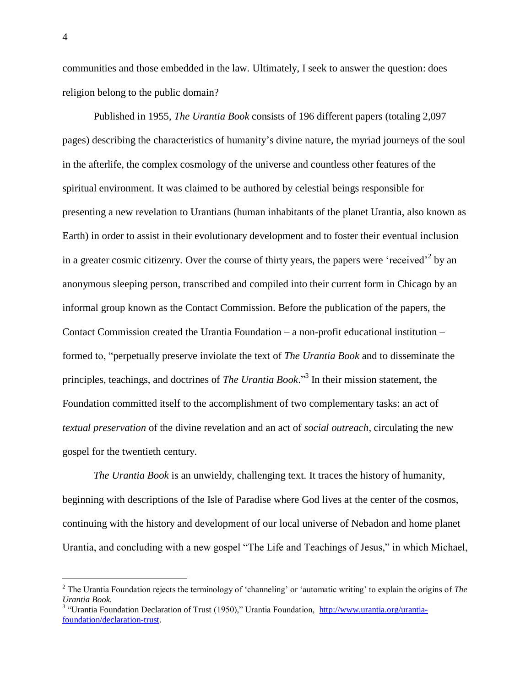communities and those embedded in the law. Ultimately, I seek to answer the question: does religion belong to the public domain?

Published in 1955, *The Urantia Book* consists of 196 different papers (totaling 2,097 pages) describing the characteristics of humanity's divine nature, the myriad journeys of the soul in the afterlife, the complex cosmology of the universe and countless other features of the spiritual environment. It was claimed to be authored by celestial beings responsible for presenting a new revelation to Urantians (human inhabitants of the planet Urantia, also known as Earth) in order to assist in their evolutionary development and to foster their eventual inclusion in a greater cosmic citizenry. Over the course of thirty years, the papers were 'received'<sup>2</sup> by an anonymous sleeping person, transcribed and compiled into their current form in Chicago by an informal group known as the Contact Commission. Before the publication of the papers, the Contact Commission created the Urantia Foundation – a non-profit educational institution – formed to, "perpetually preserve inviolate the text of *The Urantia Book* and to disseminate the principles, teachings, and doctrines of *The Urantia Book*." 3 In their mission statement, the Foundation committed itself to the accomplishment of two complementary tasks: an act of *textual preservation* of the divine revelation and an act of *social outreach*, circulating the new gospel for the twentieth century.

*The Urantia Book* is an unwieldy, challenging text. It traces the history of humanity, beginning with descriptions of the Isle of Paradise where God lives at the center of the cosmos, continuing with the history and development of our local universe of Nebadon and home planet Urantia, and concluding with a new gospel "The Life and Teachings of Jesus," in which Michael,

<sup>2</sup> The Urantia Foundation rejects the terminology of 'channeling' or 'automatic writing' to explain the origins of *The Urantia Book.*

<sup>&</sup>lt;sup>3</sup> "Urantia Foundation Declaration of Trust (1950)," Urantia Foundation, [http://www.urantia.org/urantia](http://www.urantia.org/urantia-foundation/declaration-trust)[foundation/declaration-trust.](http://www.urantia.org/urantia-foundation/declaration-trust)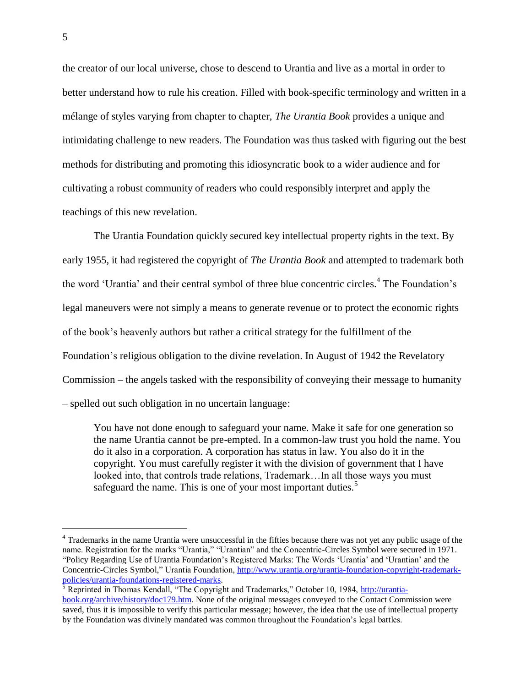the creator of our local universe, chose to descend to Urantia and live as a mortal in order to better understand how to rule his creation. Filled with book-specific terminology and written in a mélange of styles varying from chapter to chapter, *The Urantia Book* provides a unique and intimidating challenge to new readers. The Foundation was thus tasked with figuring out the best methods for distributing and promoting this idiosyncratic book to a wider audience and for cultivating a robust community of readers who could responsibly interpret and apply the teachings of this new revelation.

The Urantia Foundation quickly secured key intellectual property rights in the text. By early 1955, it had registered the copyright of *The Urantia Book* and attempted to trademark both the word 'Urantia' and their central symbol of three blue concentric circles.<sup>4</sup> The Foundation's legal maneuvers were not simply a means to generate revenue or to protect the economic rights of the book's heavenly authors but rather a critical strategy for the fulfillment of the Foundation's religious obligation to the divine revelation. In August of 1942 the Revelatory Commission – the angels tasked with the responsibility of conveying their message to humanity – spelled out such obligation in no uncertain language:

You have not done enough to safeguard your name. Make it safe for one generation so the name Urantia cannot be pre-empted. In a common-law trust you hold the name. You do it also in a corporation. A corporation has status in law. You also do it in the copyright. You must carefully register it with the division of government that I have looked into, that controls trade relations, Trademark…In all those ways you must safeguard the name. This is one of your most important duties.<sup>5</sup>

<sup>&</sup>lt;sup>4</sup> Trademarks in the name Urantia were unsuccessful in the fifties because there was not yet any public usage of the name. Registration for the marks "Urantia," "Urantian" and the Concentric-Circles Symbol were secured in 1971. "Policy Regarding Use of Urantia Foundation's Registered Marks: The Words 'Urantia' and 'Urantian' and the Concentric-Circles Symbol," Urantia Foundation, [http://www.urantia.org/urantia-foundation-copyright-trademark](http://www.urantia.org/urantia-foundation-copyright-trademark-policies/urantia-foundations-registered-marks)[policies/urantia-foundations-registered-marks.](http://www.urantia.org/urantia-foundation-copyright-trademark-policies/urantia-foundations-registered-marks)

 $5$  Reprinted in Thomas Kendall, "The Copyright and Trademarks," October 10, 1984, [http://urantia](http://urantia-book.org/archive/history/doc179.htm)[book.org/archive/history/doc179.htm.](http://urantia-book.org/archive/history/doc179.htm) None of the original messages conveyed to the Contact Commission were saved, thus it is impossible to verify this particular message; however, the idea that the use of intellectual property by the Foundation was divinely mandated was common throughout the Foundation's legal battles.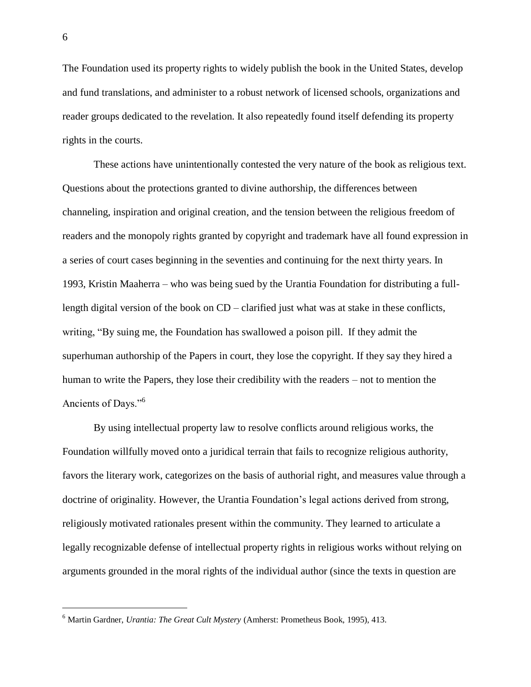The Foundation used its property rights to widely publish the book in the United States, develop and fund translations, and administer to a robust network of licensed schools, organizations and reader groups dedicated to the revelation*.* It also repeatedly found itself defending its property rights in the courts.

These actions have unintentionally contested the very nature of the book as religious text. Questions about the protections granted to divine authorship, the differences between channeling, inspiration and original creation, and the tension between the religious freedom of readers and the monopoly rights granted by copyright and trademark have all found expression in a series of court cases beginning in the seventies and continuing for the next thirty years. In 1993, Kristin Maaherra – who was being sued by the Urantia Foundation for distributing a fulllength digital version of the book on CD – clarified just what was at stake in these conflicts, writing, "By suing me, the Foundation has swallowed a poison pill. If they admit the superhuman authorship of the Papers in court, they lose the copyright. If they say they hired a human to write the Papers, they lose their credibility with the readers – not to mention the Ancients of Days."<sup>6</sup>

By using intellectual property law to resolve conflicts around religious works, the Foundation willfully moved onto a juridical terrain that fails to recognize religious authority, favors the literary work, categorizes on the basis of authorial right, and measures value through a doctrine of originality. However, the Urantia Foundation's legal actions derived from strong, religiously motivated rationales present within the community. They learned to articulate a legally recognizable defense of intellectual property rights in religious works without relying on arguments grounded in the moral rights of the individual author (since the texts in question are

<sup>6</sup> Martin Gardner, *Urantia: The Great Cult Mystery* (Amherst: Prometheus Book, 1995), 413.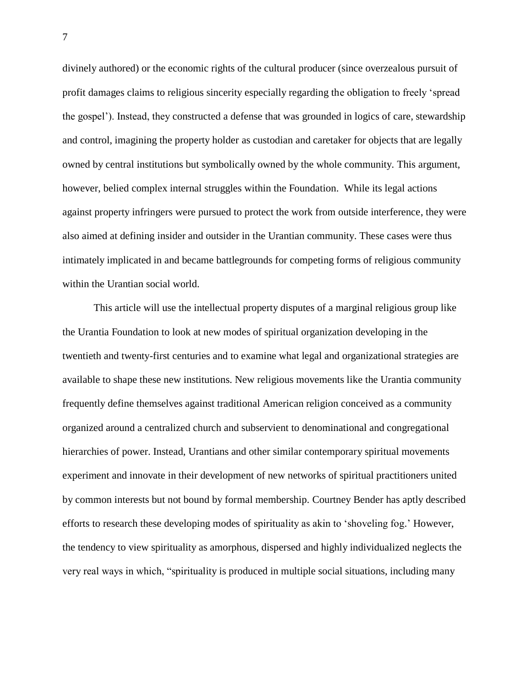divinely authored) or the economic rights of the cultural producer (since overzealous pursuit of profit damages claims to religious sincerity especially regarding the obligation to freely 'spread the gospel'). Instead, they constructed a defense that was grounded in logics of care, stewardship and control, imagining the property holder as custodian and caretaker for objects that are legally owned by central institutions but symbolically owned by the whole community. This argument, however, belied complex internal struggles within the Foundation. While its legal actions against property infringers were pursued to protect the work from outside interference, they were also aimed at defining insider and outsider in the Urantian community. These cases were thus intimately implicated in and became battlegrounds for competing forms of religious community within the Urantian social world.

This article will use the intellectual property disputes of a marginal religious group like the Urantia Foundation to look at new modes of spiritual organization developing in the twentieth and twenty-first centuries and to examine what legal and organizational strategies are available to shape these new institutions. New religious movements like the Urantia community frequently define themselves against traditional American religion conceived as a community organized around a centralized church and subservient to denominational and congregational hierarchies of power. Instead, Urantians and other similar contemporary spiritual movements experiment and innovate in their development of new networks of spiritual practitioners united by common interests but not bound by formal membership. Courtney Bender has aptly described efforts to research these developing modes of spirituality as akin to 'shoveling fog.' However, the tendency to view spirituality as amorphous, dispersed and highly individualized neglects the very real ways in which, "spirituality is produced in multiple social situations, including many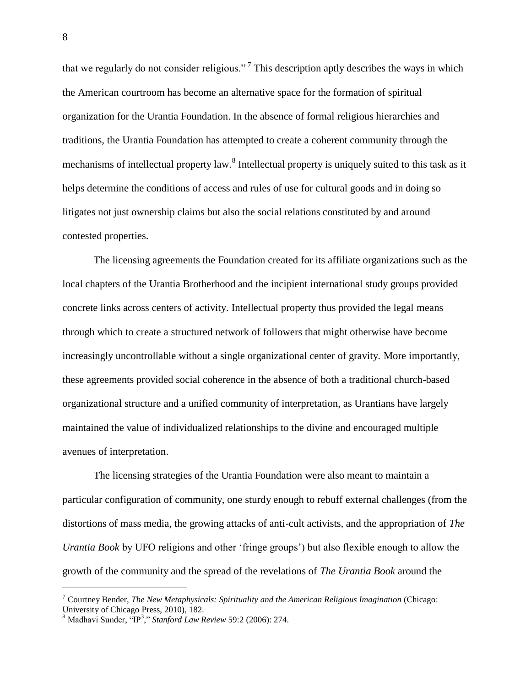that we regularly do not consider religious."<sup>7</sup> This description aptly describes the ways in which the American courtroom has become an alternative space for the formation of spiritual organization for the Urantia Foundation. In the absence of formal religious hierarchies and traditions, the Urantia Foundation has attempted to create a coherent community through the mechanisms of intellectual property law.<sup>8</sup> Intellectual property is uniquely suited to this task as it helps determine the conditions of access and rules of use for cultural goods and in doing so litigates not just ownership claims but also the social relations constituted by and around contested properties.

The licensing agreements the Foundation created for its affiliate organizations such as the local chapters of the Urantia Brotherhood and the incipient international study groups provided concrete links across centers of activity. Intellectual property thus provided the legal means through which to create a structured network of followers that might otherwise have become increasingly uncontrollable without a single organizational center of gravity. More importantly, these agreements provided social coherence in the absence of both a traditional church-based organizational structure and a unified community of interpretation, as Urantians have largely maintained the value of individualized relationships to the divine and encouraged multiple avenues of interpretation.

The licensing strategies of the Urantia Foundation were also meant to maintain a particular configuration of community, one sturdy enough to rebuff external challenges (from the distortions of mass media, the growing attacks of anti-cult activists, and the appropriation of *The Urantia Book* by UFO religions and other 'fringe groups') but also flexible enough to allow the growth of the community and the spread of the revelations of *The Urantia Book* around the

<sup>7</sup> Courtney Bender, *The New Metaphysicals: Spirituality and the American Religious Imagination* (Chicago: University of Chicago Press, 2010), 182.

<sup>8</sup> Madhavi Sunder, "IP<sup>3</sup> ," *Stanford Law Review* 59:2 (2006): 274.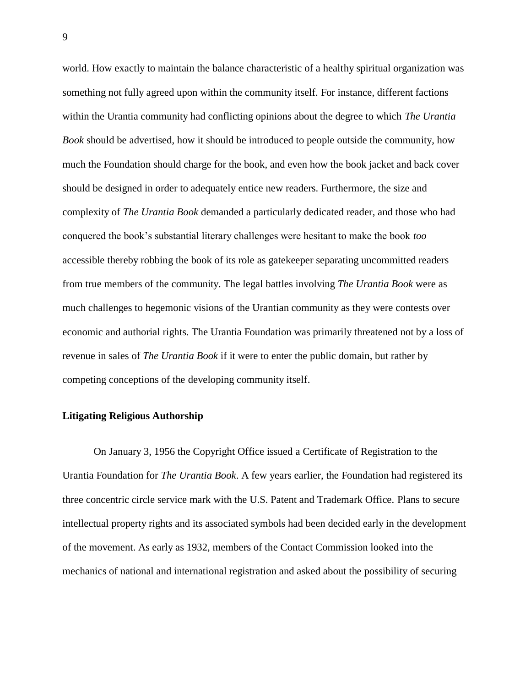world. How exactly to maintain the balance characteristic of a healthy spiritual organization was something not fully agreed upon within the community itself. For instance, different factions within the Urantia community had conflicting opinions about the degree to which *The Urantia Book* should be advertised, how it should be introduced to people outside the community, how much the Foundation should charge for the book, and even how the book jacket and back cover should be designed in order to adequately entice new readers. Furthermore, the size and complexity of *The Urantia Book* demanded a particularly dedicated reader, and those who had conquered the book's substantial literary challenges were hesitant to make the book *too* accessible thereby robbing the book of its role as gatekeeper separating uncommitted readers from true members of the community. The legal battles involving *The Urantia Book* were as much challenges to hegemonic visions of the Urantian community as they were contests over economic and authorial rights. The Urantia Foundation was primarily threatened not by a loss of revenue in sales of *The Urantia Book* if it were to enter the public domain, but rather by competing conceptions of the developing community itself.

#### **Litigating Religious Authorship**

On January 3, 1956 the Copyright Office issued a Certificate of Registration to the Urantia Foundation for *The Urantia Book*. A few years earlier, the Foundation had registered its three concentric circle service mark with the U.S. Patent and Trademark Office. Plans to secure intellectual property rights and its associated symbols had been decided early in the development of the movement. As early as 1932, members of the Contact Commission looked into the mechanics of national and international registration and asked about the possibility of securing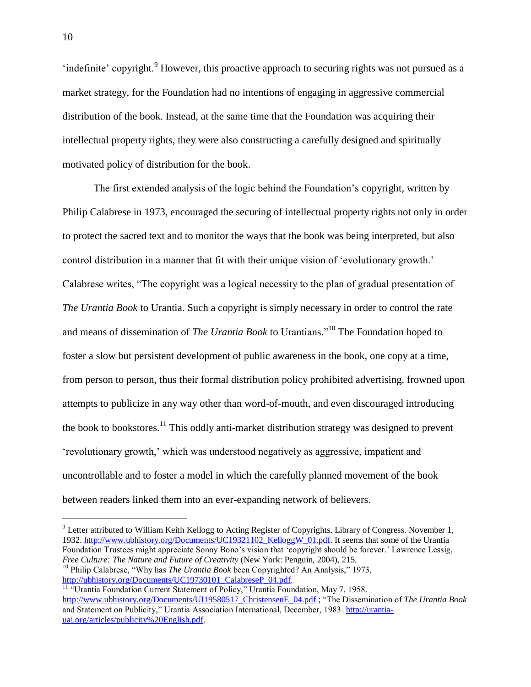'indefinite' copyright.<sup>9</sup> However, this proactive approach to securing rights was not pursued as a market strategy, for the Foundation had no intentions of engaging in aggressive commercial distribution of the book. Instead, at the same time that the Foundation was acquiring their intellectual property rights, they were also constructing a carefully designed and spiritually motivated policy of distribution for the book.

The first extended analysis of the logic behind the Foundation's copyright, written by Philip Calabrese in 1973, encouraged the securing of intellectual property rights not only in order to protect the sacred text and to monitor the ways that the book was being interpreted, but also control distribution in a manner that fit with their unique vision of 'evolutionary growth.' Calabrese writes, "The copyright was a logical necessity to the plan of gradual presentation of *The Urantia Book* to Urantia. Such a copyright is simply necessary in order to control the rate and means of dissemination of *The Urantia Book* to Urantians."<sup>10</sup> The Foundation hoped to foster a slow but persistent development of public awareness in the book, one copy at a time, from person to person, thus their formal distribution policy prohibited advertising, frowned upon attempts to publicize in any way other than word-of-mouth, and even discouraged introducing the book to bookstores.<sup>11</sup> This oddly anti-market distribution strategy was designed to prevent 'revolutionary growth,' which was understood negatively as aggressive, impatient and uncontrollable and to foster a model in which the carefully planned movement of the book between readers linked them into an ever-expanding network of believers.

<sup>&</sup>lt;sup>9</sup> Letter attributed to William Keith Kellogg to Acting Register of Copyrights, Library of Congress. November 1, 1932. [http://www.ubhistory.org/Documents/UC19321102\\_KelloggW\\_01.pdf.](http://www.ubhistory.org/Documents/UC19321102_KelloggW_01.pdf) It seems that some of the Urantia Foundation Trustees might appreciate Sonny Bono's vision that 'copyright should be forever.' Lawrence Lessig, *Free Culture: The Nature and Future of Creativity* (New York: Penguin, 2004), 215. <sup>10</sup> Philip Calabrese, "Why has *The Urantia Book* been Copyrighted? An Analysis," 1973,

[http://ubhistory.org/Documents/UC19730101\\_CalabreseP\\_04.pdf.](http://ubhistory.org/Documents/UC19730101_CalabreseP_04.pdf)

<sup>&</sup>lt;sup>11</sup> "Urantia Foundation Current Statement of Policy," Urantia Foundation, May 7, 1958. [http://www.ubhistory.org/Documents/UI19580517\\_ChristensenE\\_04.pdf](http://www.ubhistory.org/Documents/UI19580517_ChristensenE_04.pdf) ; "The Dissemination of *The Urantia Book*  and Statement on Publicity," Urantia Association International, December, 1983. [http://urantia](http://urantia-uai.org/articles/publicity%20English.pdf)[uai.org/articles/publicity%20English.pdf.](http://urantia-uai.org/articles/publicity%20English.pdf)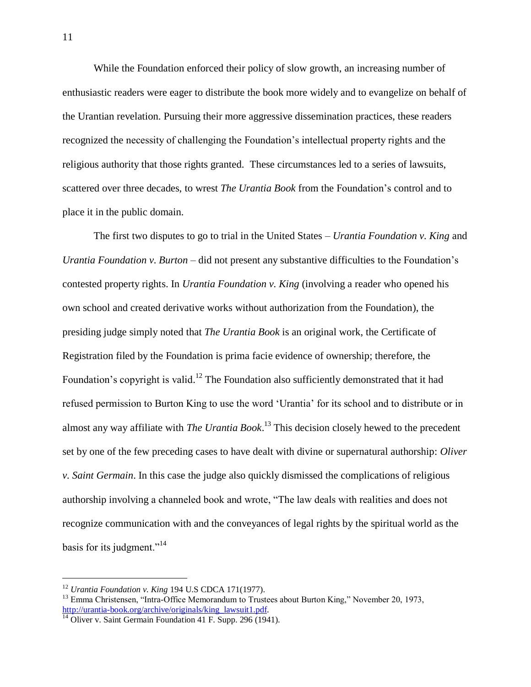While the Foundation enforced their policy of slow growth, an increasing number of enthusiastic readers were eager to distribute the book more widely and to evangelize on behalf of the Urantian revelation. Pursuing their more aggressive dissemination practices, these readers recognized the necessity of challenging the Foundation's intellectual property rights and the religious authority that those rights granted. These circumstances led to a series of lawsuits, scattered over three decades, to wrest *The Urantia Book* from the Foundation's control and to place it in the public domain.

The first two disputes to go to trial in the United States – *Urantia Foundation v. King* and *Urantia Foundation v. Burton* – did not present any substantive difficulties to the Foundation's contested property rights. In *Urantia Foundation v. King* (involving a reader who opened his own school and created derivative works without authorization from the Foundation), the presiding judge simply noted that *The Urantia Book* is an original work, the Certificate of Registration filed by the Foundation is prima facie evidence of ownership; therefore, the Foundation's copyright is valid.<sup>12</sup> The Foundation also sufficiently demonstrated that it had refused permission to Burton King to use the word 'Urantia' for its school and to distribute or in almost any way affiliate with *The Urantia Book*. <sup>13</sup> This decision closely hewed to the precedent set by one of the few preceding cases to have dealt with divine or supernatural authorship: *Oliver v. Saint Germain*. In this case the judge also quickly dismissed the complications of religious authorship involving a channeled book and wrote, "The law deals with realities and does not recognize communication with and the conveyances of legal rights by the spiritual world as the basis for its judgment."<sup>14</sup>

<sup>12</sup> *Urantia Foundation v. King* 194 U.S CDCA 171(1977).

<sup>&</sup>lt;sup>13</sup> Emma Christensen, "Intra-Office Memorandum to Trustees about Burton King," November 20, 1973, [http://urantia-book.org/archive/originals/king\\_lawsuit1.pdf.](http://urantia-book.org/archive/originals/king_lawsuit1.pdf)

 $14$  Oliver v. Saint Germain Foundation 41 F. Supp. 296 (1941).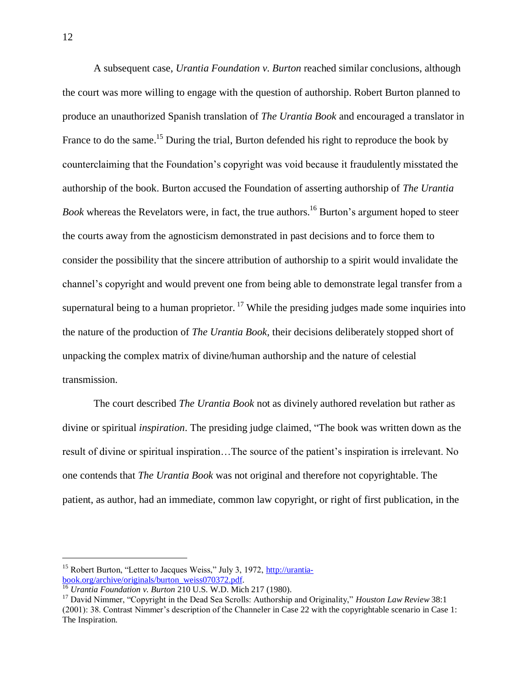A subsequent case, *Urantia Foundation v. Burton* reached similar conclusions, although the court was more willing to engage with the question of authorship. Robert Burton planned to produce an unauthorized Spanish translation of *The Urantia Book* and encouraged a translator in France to do the same.<sup>15</sup> During the trial, Burton defended his right to reproduce the book by counterclaiming that the Foundation's copyright was void because it fraudulently misstated the authorship of the book. Burton accused the Foundation of asserting authorship of *The Urantia Book* whereas the Revelators were, in fact, the true authors. <sup>16</sup> Burton's argument hoped to steer the courts away from the agnosticism demonstrated in past decisions and to force them to consider the possibility that the sincere attribution of authorship to a spirit would invalidate the channel's copyright and would prevent one from being able to demonstrate legal transfer from a supernatural being to a human proprietor.<sup>17</sup> While the presiding judges made some inquiries into the nature of the production of *The Urantia Book,* their decisions deliberately stopped short of unpacking the complex matrix of divine/human authorship and the nature of celestial transmission.

The court described *The Urantia Book* not as divinely authored revelation but rather as divine or spiritual *inspiration*. The presiding judge claimed, "The book was written down as the result of divine or spiritual inspiration…The source of the patient's inspiration is irrelevant. No one contends that *The Urantia Book* was not original and therefore not copyrightable. The patient, as author, had an immediate, common law copyright, or right of first publication, in the

<sup>&</sup>lt;sup>15</sup> Robert Burton, "Letter to Jacques Weiss," July 3, 1972, [http://urantia](http://urantia-book.org/archive/originals/burton_weiss070372.pdf)[book.org/archive/originals/burton\\_weiss070372.pdf.](http://urantia-book.org/archive/originals/burton_weiss070372.pdf)

<sup>16</sup> *Urantia Foundation v. Burton* 210 U.S. W.D. Mich 217 (1980).

<sup>17</sup> David Nimmer, "Copyright in the Dead Sea Scrolls: Authorship and Originality," *Houston Law Review* 38:1 (2001): 38. Contrast Nimmer's description of the Channeler in Case 22 with the copyrightable scenario in Case 1: The Inspiration.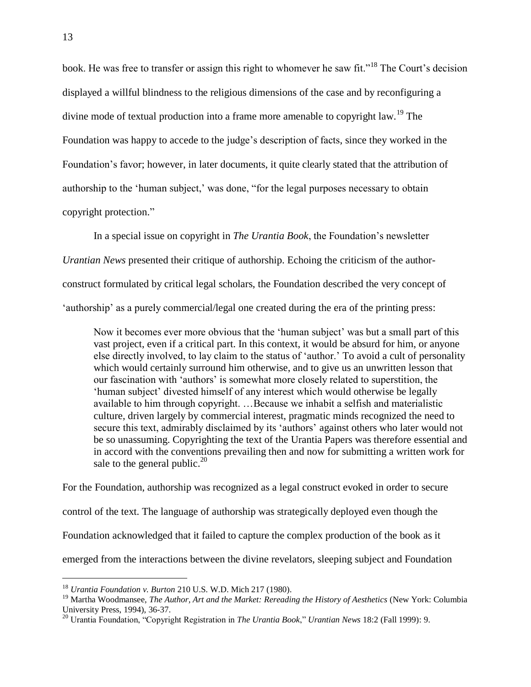book. He was free to transfer or assign this right to whomever he saw fit."<sup>18</sup> The Court's decision displayed a willful blindness to the religious dimensions of the case and by reconfiguring a divine mode of textual production into a frame more amenable to copyright law.<sup>19</sup> The Foundation was happy to accede to the judge's description of facts, since they worked in the Foundation's favor; however, in later documents, it quite clearly stated that the attribution of authorship to the 'human subject,' was done, "for the legal purposes necessary to obtain copyright protection."

In a special issue on copyright in *The Urantia Book*, the Foundation's newsletter *Urantian News* presented their critique of authorship. Echoing the criticism of the authorconstruct formulated by critical legal scholars, the Foundation described the very concept of 'authorship' as a purely commercial/legal one created during the era of the printing press:

Now it becomes ever more obvious that the 'human subject' was but a small part of this vast project, even if a critical part. In this context, it would be absurd for him, or anyone else directly involved, to lay claim to the status of 'author.' To avoid a cult of personality which would certainly surround him otherwise, and to give us an unwritten lesson that our fascination with 'authors' is somewhat more closely related to superstition, the 'human subject' divested himself of any interest which would otherwise be legally available to him through copyright. …Because we inhabit a selfish and materialistic culture, driven largely by commercial interest, pragmatic minds recognized the need to secure this text, admirably disclaimed by its 'authors' against others who later would not be so unassuming. Copyrighting the text of the Urantia Papers was therefore essential and in accord with the conventions prevailing then and now for submitting a written work for sale to the general public.<sup>20</sup>

For the Foundation, authorship was recognized as a legal construct evoked in order to secure control of the text. The language of authorship was strategically deployed even though the Foundation acknowledged that it failed to capture the complex production of the book as it emerged from the interactions between the divine revelators, sleeping subject and Foundation

<sup>18</sup> *Urantia Foundation v. Burton* 210 U.S. W.D. Mich 217 (1980).

<sup>&</sup>lt;sup>19</sup> Martha Woodmansee, *The Author, Art and the Market: Rereading the History of Aesthetics* (New York: Columbia University Press, 1994), 36-37.

<sup>20</sup> Urantia Foundation, "Copyright Registration in *The Urantia Book*," *Urantian News* 18:2 (Fall 1999): 9.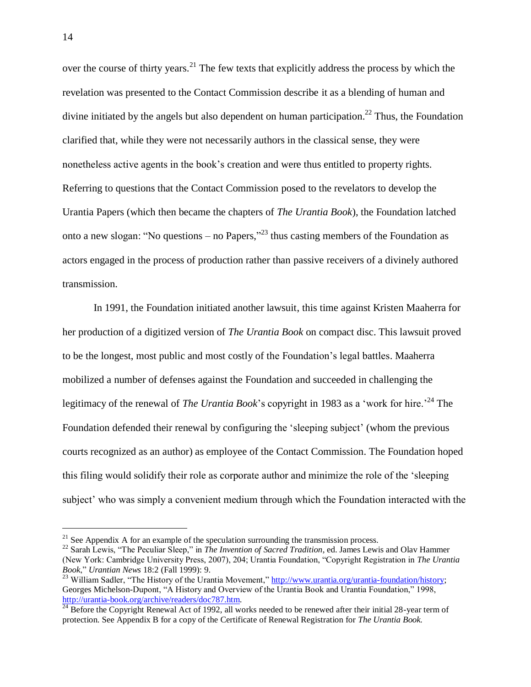over the course of thirty years.<sup>21</sup> The few texts that explicitly address the process by which the revelation was presented to the Contact Commission describe it as a blending of human and divine initiated by the angels but also dependent on human participation.<sup>22</sup> Thus, the Foundation clarified that, while they were not necessarily authors in the classical sense, they were nonetheless active agents in the book's creation and were thus entitled to property rights. Referring to questions that the Contact Commission posed to the revelators to develop the Urantia Papers (which then became the chapters of *The Urantia Book*), the Foundation latched onto a new slogan: "No questions – no Papers,"<sup>23</sup> thus casting members of the Foundation as actors engaged in the process of production rather than passive receivers of a divinely authored transmission.

In 1991, the Foundation initiated another lawsuit, this time against Kristen Maaherra for her production of a digitized version of *The Urantia Book* on compact disc. This lawsuit proved to be the longest, most public and most costly of the Foundation's legal battles. Maaherra mobilized a number of defenses against the Foundation and succeeded in challenging the legitimacy of the renewal of *The Urantia Book*'s copyright in 1983 as a 'work for hire.<sup>24</sup> The Foundation defended their renewal by configuring the 'sleeping subject' (whom the previous courts recognized as an author) as employee of the Contact Commission. The Foundation hoped this filing would solidify their role as corporate author and minimize the role of the 'sleeping subject' who was simply a convenient medium through which the Foundation interacted with the

 $21$  See Appendix A for an example of the speculation surrounding the transmission process.

<sup>&</sup>lt;sup>22</sup> Sarah Lewis, "The Peculiar Sleep," in *The Invention of Sacred Tradition*, ed. James Lewis and Olav Hammer (New York: Cambridge University Press, 2007), 204; Urantia Foundation, "Copyright Registration in *The Urantia Book*," *Urantian News* 18:2 (Fall 1999): 9.

<sup>&</sup>lt;sup>23</sup> William Sadler, "The History of the Urantia Movement,[" http://www.urantia.org/urantia-foundation/history;](http://www.urantia.org/urantia-foundation/history) Georges Michelson-Dupont, "A History and Overview of the Urantia Book and Urantia Foundation," 1998, [http://urantia-book.org/archive/readers/doc787.htm.](http://urantia-book.org/archive/readers/doc787.htm)

 $^{24}$  Before the Copyright Renewal Act of 1992, all works needed to be renewed after their initial 28-year term of protection. See Appendix B for a copy of the Certificate of Renewal Registration for *The Urantia Book.*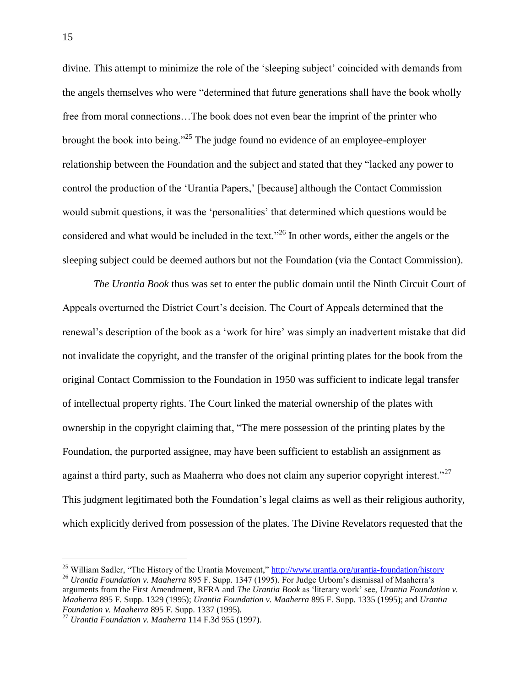divine. This attempt to minimize the role of the 'sleeping subject' coincided with demands from the angels themselves who were "determined that future generations shall have the book wholly free from moral connections…The book does not even bear the imprint of the printer who brought the book into being."<sup>25</sup> The judge found no evidence of an employee-employer relationship between the Foundation and the subject and stated that they "lacked any power to control the production of the 'Urantia Papers,' [because] although the Contact Commission would submit questions, it was the 'personalities' that determined which questions would be considered and what would be included in the text."<sup>26</sup> In other words, either the angels or the sleeping subject could be deemed authors but not the Foundation (via the Contact Commission).

*The Urantia Book* thus was set to enter the public domain until the Ninth Circuit Court of Appeals overturned the District Court's decision. The Court of Appeals determined that the renewal's description of the book as a 'work for hire' was simply an inadvertent mistake that did not invalidate the copyright, and the transfer of the original printing plates for the book from the original Contact Commission to the Foundation in 1950 was sufficient to indicate legal transfer of intellectual property rights. The Court linked the material ownership of the plates with ownership in the copyright claiming that, "The mere possession of the printing plates by the Foundation, the purported assignee, may have been sufficient to establish an assignment as against a third party, such as Maaherra who does not claim any superior copyright interest."<sup>27</sup> This judgment legitimated both the Foundation's legal claims as well as their religious authority, which explicitly derived from possession of the plates. The Divine Revelators requested that the

<sup>&</sup>lt;sup>25</sup> William Sadler, "The History of the Urantia Movement,[" http://www.urantia.org/urantia-foundation/history](http://www.urantia.org/urantia-foundation/history) <sup>26</sup> *Urantia Foundation v. Maaherra* 895 F. Supp. 1347 (1995). For Judge Urbom's dismissal of Maaherra's arguments from the First Amendment, RFRA and *The Urantia Book* as 'literary work' see, *Urantia Foundation v. Maaherra* 895 F. Supp. 1329 (1995); *Urantia Foundation v. Maaherra* 895 F. Supp. 1335 (1995); and *Urantia Foundation v. Maaherra* 895 F. Supp. 1337 (1995).

<sup>27</sup> *Urantia Foundation v. Maaherra* 114 F.3d 955 (1997).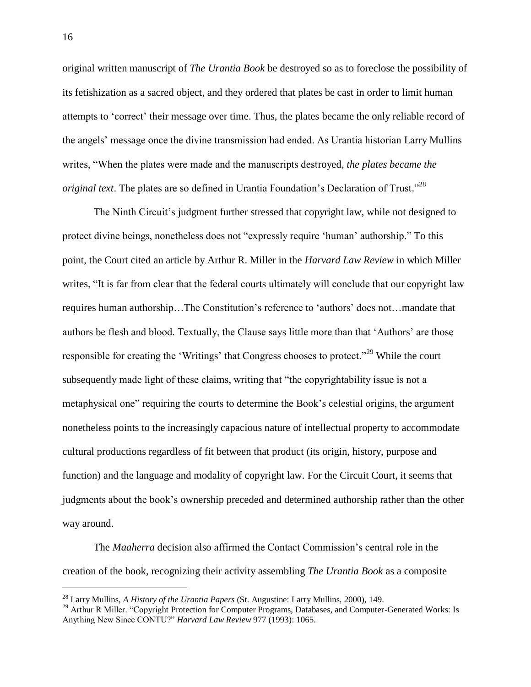original written manuscript of *The Urantia Book* be destroyed so as to foreclose the possibility of its fetishization as a sacred object, and they ordered that plates be cast in order to limit human attempts to 'correct' their message over time. Thus, the plates became the only reliable record of the angels' message once the divine transmission had ended. As Urantia historian Larry Mullins writes, "When the plates were made and the manuscripts destroyed, *the plates became the original text*. The plates are so defined in Urantia Foundation's Declaration of Trust." 28

The Ninth Circuit's judgment further stressed that copyright law, while not designed to protect divine beings, nonetheless does not "expressly require 'human' authorship." To this point, the Court cited an article by Arthur R. Miller in the *Harvard Law Review* in which Miller writes, "It is far from clear that the federal courts ultimately will conclude that our copyright law requires human authorship…The Constitution's reference to 'authors' does not…mandate that authors be flesh and blood. Textually, the Clause says little more than that 'Authors' are those responsible for creating the 'Writings' that Congress chooses to protect."<sup>29</sup> While the court subsequently made light of these claims, writing that "the copyrightability issue is not a metaphysical one" requiring the courts to determine the Book's celestial origins, the argument nonetheless points to the increasingly capacious nature of intellectual property to accommodate cultural productions regardless of fit between that product (its origin, history, purpose and function) and the language and modality of copyright law. For the Circuit Court, it seems that judgments about the book's ownership preceded and determined authorship rather than the other way around.

The *Maaherra* decision also affirmed the Contact Commission's central role in the creation of the book, recognizing their activity assembling *The Urantia Book* as a composite

<sup>28</sup> Larry Mullins, *A History of the Urantia Papers* (St. Augustine: Larry Mullins, 2000), 149.

<sup>&</sup>lt;sup>29</sup> Arthur R Miller. "Copyright Protection for Computer Programs, Databases, and Computer-Generated Works: Is Anything New Since CONTU?" *Harvard Law Review* 977 (1993): 1065.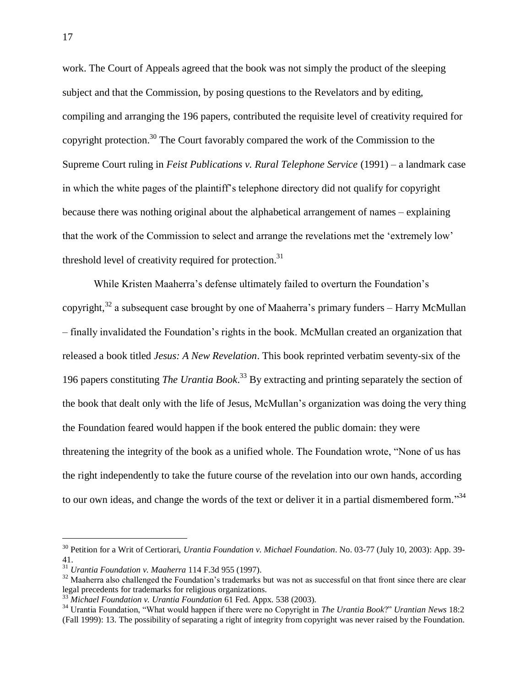work. The Court of Appeals agreed that the book was not simply the product of the sleeping subject and that the Commission, by posing questions to the Revelators and by editing, compiling and arranging the 196 papers, contributed the requisite level of creativity required for copyright protection.<sup>30</sup> The Court favorably compared the work of the Commission to the Supreme Court ruling in *Feist Publications v. Rural Telephone Service* (1991) – a landmark case in which the white pages of the plaintiff's telephone directory did not qualify for copyright because there was nothing original about the alphabetical arrangement of names – explaining that the work of the Commission to select and arrange the revelations met the 'extremely low' threshold level of creativity required for protection.<sup>31</sup>

While Kristen Maaherra's defense ultimately failed to overturn the Foundation's copyright, $32$  a subsequent case brought by one of Maaherra's primary funders – Harry McMullan – finally invalidated the Foundation's rights in the book. McMullan created an organization that released a book titled *Jesus: A New Revelation*. This book reprinted verbatim seventy-six of the 196 papers constituting *The Urantia Book*. <sup>33</sup> By extracting and printing separately the section of the book that dealt only with the life of Jesus, McMullan's organization was doing the very thing the Foundation feared would happen if the book entered the public domain: they were threatening the integrity of the book as a unified whole. The Foundation wrote, "None of us has the right independently to take the future course of the revelation into our own hands, according to our own ideas, and change the words of the text or deliver it in a partial dismembered form."<sup>34</sup>

<sup>30</sup> Petition for a Writ of Certiorari, *Urantia Foundation v. Michael Foundation*. No. 03-77 (July 10, 2003): App. 39- 41.

<sup>31</sup> *Urantia Foundation v. Maaherra* 114 F.3d 955 (1997).

<sup>&</sup>lt;sup>32</sup> Maaherra also challenged the Foundation's trademarks but was not as successful on that front since there are clear legal precedents for trademarks for religious organizations.

<sup>33</sup> *Michael Foundation v. Urantia Foundation* 61 Fed. Appx. 538 (2003).

<sup>34</sup> Urantia Foundation, "What would happen if there were no Copyright in *The Urantia Book*?" *Urantian News* 18:2 (Fall 1999): 13. The possibility of separating a right of integrity from copyright was never raised by the Foundation.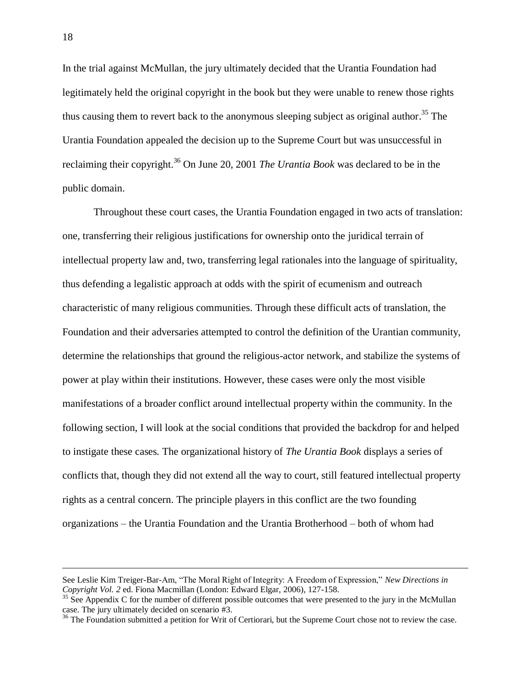In the trial against McMullan, the jury ultimately decided that the Urantia Foundation had legitimately held the original copyright in the book but they were unable to renew those rights thus causing them to revert back to the anonymous sleeping subject as original author.<sup>35</sup> The Urantia Foundation appealed the decision up to the Supreme Court but was unsuccessful in reclaiming their copyright. <sup>36</sup> On June 20, 2001 *The Urantia Book* was declared to be in the public domain.

Throughout these court cases, the Urantia Foundation engaged in two acts of translation: one, transferring their religious justifications for ownership onto the juridical terrain of intellectual property law and, two, transferring legal rationales into the language of spirituality, thus defending a legalistic approach at odds with the spirit of ecumenism and outreach characteristic of many religious communities. Through these difficult acts of translation, the Foundation and their adversaries attempted to control the definition of the Urantian community, determine the relationships that ground the religious-actor network, and stabilize the systems of power at play within their institutions. However, these cases were only the most visible manifestations of a broader conflict around intellectual property within the community. In the following section, I will look at the social conditions that provided the backdrop for and helped to instigate these cases*.* The organizational history of *The Urantia Book* displays a series of conflicts that, though they did not extend all the way to court, still featured intellectual property rights as a central concern. The principle players in this conflict are the two founding organizations – the Urantia Foundation and the Urantia Brotherhood – both of whom had

See Leslie Kim Treiger-Bar-Am, "The Moral Right of Integrity: A Freedom of Expression," *New Directions in Copyright Vol. 2* ed. Fiona Macmillan (London: Edward Elgar, 2006), 127-158.

 $\frac{35}{35}$  See Appendix C for the number of different possible outcomes that were presented to the jury in the McMullan case. The jury ultimately decided on scenario #3.

<sup>&</sup>lt;sup>36</sup> The Foundation submitted a petition for Writ of Certiorari, but the Supreme Court chose not to review the case.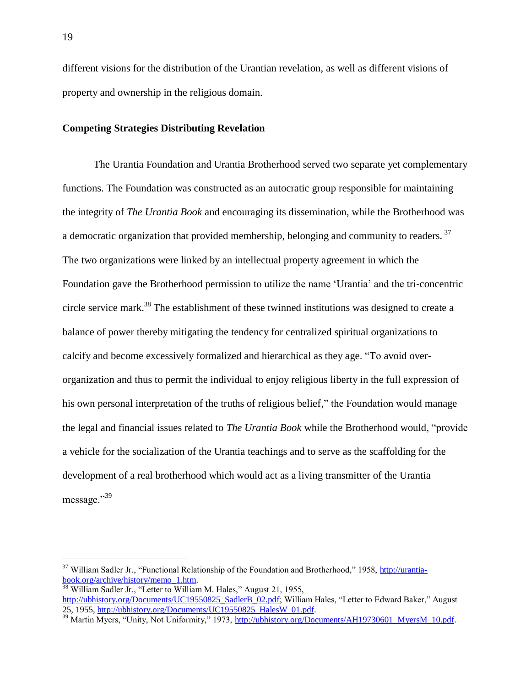different visions for the distribution of the Urantian revelation, as well as different visions of property and ownership in the religious domain.

### **Competing Strategies Distributing Revelation**

The Urantia Foundation and Urantia Brotherhood served two separate yet complementary functions. The Foundation was constructed as an autocratic group responsible for maintaining the integrity of *The Urantia Book* and encouraging its dissemination, while the Brotherhood was a democratic organization that provided membership, belonging and community to readers.<sup>37</sup> The two organizations were linked by an intellectual property agreement in which the Foundation gave the Brotherhood permission to utilize the name 'Urantia' and the tri-concentric circle service mark.<sup>38</sup> The establishment of these twinned institutions was designed to create a balance of power thereby mitigating the tendency for centralized spiritual organizations to calcify and become excessively formalized and hierarchical as they age. "To avoid overorganization and thus to permit the individual to enjoy religious liberty in the full expression of his own personal interpretation of the truths of religious belief," the Foundation would manage the legal and financial issues related to *The Urantia Book* while the Brotherhood would, "provide a vehicle for the socialization of the Urantia teachings and to serve as the scaffolding for the development of a real brotherhood which would act as a living transmitter of the Urantia message."<sup>39</sup>

<sup>&</sup>lt;sup>37</sup> William Sadler Jr., "Functional Relationship of the Foundation and Brotherhood," 1958[, http://urantia](http://urantia-book.org/archive/history/memo_1.htm)[book.org/archive/history/memo\\_1.htm.](http://urantia-book.org/archive/history/memo_1.htm) 

 $\frac{38}{38}$  William Sadler Jr., "Letter to William M. Hales," August 21, 1955,

[http://ubhistory.org/Documents/UC19550825\\_SadlerB\\_02.pdf;](http://ubhistory.org/Documents/UC19550825_SadlerB_02.pdf) William Hales, "Letter to Edward Baker," August 25, 1955, http://ubhistory.org/Documents/UC19550825\_HalesW\_01.pdf.

<sup>&</sup>lt;sup>39</sup> Martin Myers, "Unity, Not Uniformity," 1973, <u>http://ubhistory.org/Documents/AH19730601\_MyersM\_10.pdf</u>.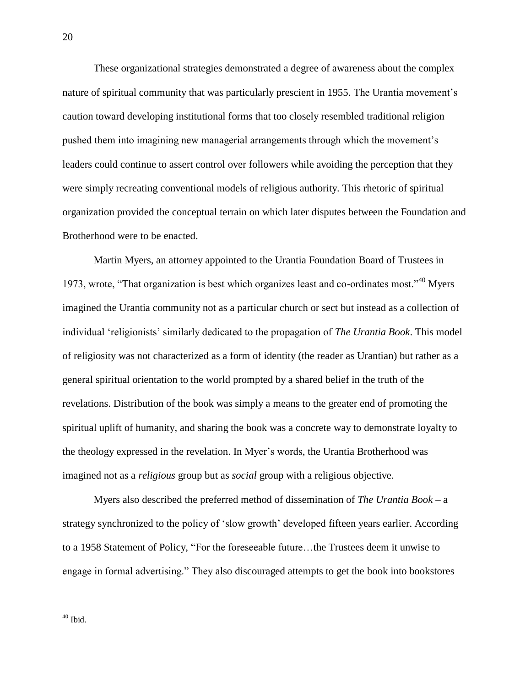These organizational strategies demonstrated a degree of awareness about the complex nature of spiritual community that was particularly prescient in 1955. The Urantia movement's caution toward developing institutional forms that too closely resembled traditional religion pushed them into imagining new managerial arrangements through which the movement's leaders could continue to assert control over followers while avoiding the perception that they were simply recreating conventional models of religious authority. This rhetoric of spiritual organization provided the conceptual terrain on which later disputes between the Foundation and Brotherhood were to be enacted.

Martin Myers, an attorney appointed to the Urantia Foundation Board of Trustees in 1973, wrote, "That organization is best which organizes least and co-ordinates most."<sup>40</sup> Myers imagined the Urantia community not as a particular church or sect but instead as a collection of individual 'religionists' similarly dedicated to the propagation of *The Urantia Book*. This model of religiosity was not characterized as a form of identity (the reader as Urantian) but rather as a general spiritual orientation to the world prompted by a shared belief in the truth of the revelations. Distribution of the book was simply a means to the greater end of promoting the spiritual uplift of humanity, and sharing the book was a concrete way to demonstrate loyalty to the theology expressed in the revelation. In Myer's words, the Urantia Brotherhood was imagined not as a *religious* group but as *social* group with a religious objective.

Myers also described the preferred method of dissemination of *The Urantia Book* – a strategy synchronized to the policy of 'slow growth' developed fifteen years earlier. According to a 1958 Statement of Policy, "For the foreseeable future…the Trustees deem it unwise to engage in formal advertising." They also discouraged attempts to get the book into bookstores

 $40$  Ibid.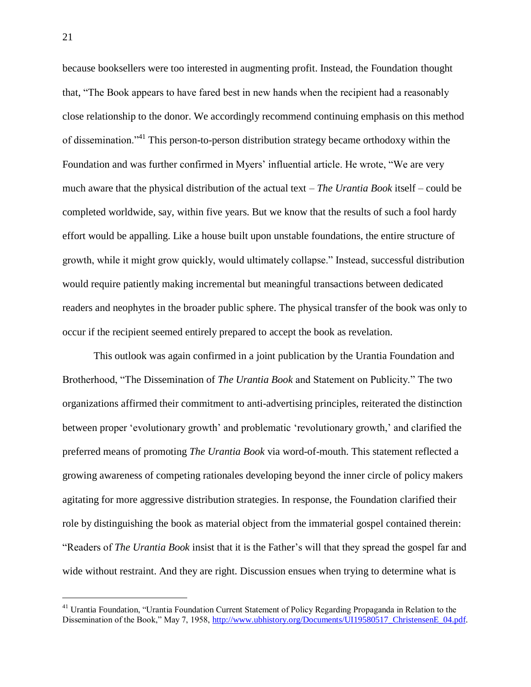because booksellers were too interested in augmenting profit. Instead, the Foundation thought that, "The Book appears to have fared best in new hands when the recipient had a reasonably close relationship to the donor. We accordingly recommend continuing emphasis on this method of dissemination."<sup>41</sup> This person-to-person distribution strategy became orthodoxy within the Foundation and was further confirmed in Myers' influential article. He wrote, "We are very much aware that the physical distribution of the actual text – *The Urantia Book* itself – could be completed worldwide, say, within five years. But we know that the results of such a fool hardy effort would be appalling. Like a house built upon unstable foundations, the entire structure of growth, while it might grow quickly, would ultimately collapse." Instead, successful distribution would require patiently making incremental but meaningful transactions between dedicated readers and neophytes in the broader public sphere. The physical transfer of the book was only to occur if the recipient seemed entirely prepared to accept the book as revelation.

This outlook was again confirmed in a joint publication by the Urantia Foundation and Brotherhood, "The Dissemination of *The Urantia Book* and Statement on Publicity." The two organizations affirmed their commitment to anti-advertising principles, reiterated the distinction between proper 'evolutionary growth' and problematic 'revolutionary growth,' and clarified the preferred means of promoting *The Urantia Book* via word-of-mouth. This statement reflected a growing awareness of competing rationales developing beyond the inner circle of policy makers agitating for more aggressive distribution strategies. In response, the Foundation clarified their role by distinguishing the book as material object from the immaterial gospel contained therein: "Readers of *The Urantia Book* insist that it is the Father's will that they spread the gospel far and wide without restraint. And they are right. Discussion ensues when trying to determine what is

<sup>41</sup> Urantia Foundation, "Urantia Foundation Current Statement of Policy Regarding Propaganda in Relation to the Dissemination of the Book," May 7, 1958, [http://www.ubhistory.org/Documents/UI19580517\\_ChristensenE\\_04.pdf.](http://www.ubhistory.org/Documents/UI19580517_ChristensenE_04.pdf)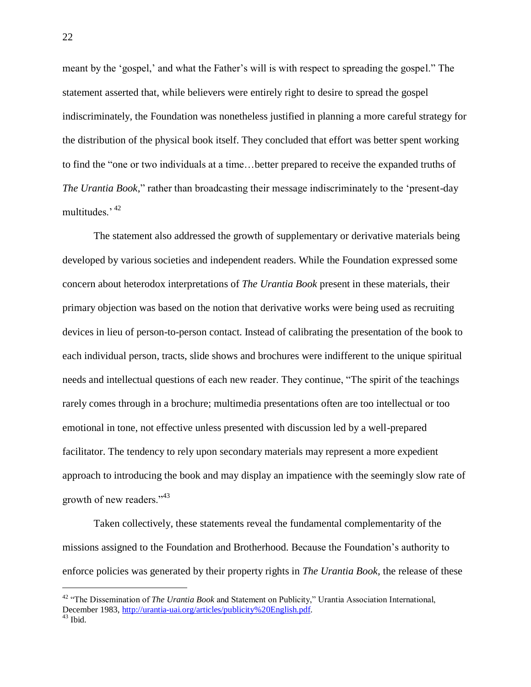meant by the 'gospel,' and what the Father's will is with respect to spreading the gospel." The statement asserted that, while believers were entirely right to desire to spread the gospel indiscriminately, the Foundation was nonetheless justified in planning a more careful strategy for the distribution of the physical book itself. They concluded that effort was better spent working to find the "one or two individuals at a time…better prepared to receive the expanded truths of *The Urantia Book*," rather than broadcasting their message indiscriminately to the 'present-day multitudes.' <sup>42</sup>

The statement also addressed the growth of supplementary or derivative materials being developed by various societies and independent readers. While the Foundation expressed some concern about heterodox interpretations of *The Urantia Book* present in these materials, their primary objection was based on the notion that derivative works were being used as recruiting devices in lieu of person-to-person contact. Instead of calibrating the presentation of the book to each individual person, tracts, slide shows and brochures were indifferent to the unique spiritual needs and intellectual questions of each new reader. They continue, "The spirit of the teachings rarely comes through in a brochure; multimedia presentations often are too intellectual or too emotional in tone, not effective unless presented with discussion led by a well-prepared facilitator. The tendency to rely upon secondary materials may represent a more expedient approach to introducing the book and may display an impatience with the seemingly slow rate of growth of new readers."<sup>43</sup>

Taken collectively, these statements reveal the fundamental complementarity of the missions assigned to the Foundation and Brotherhood. Because the Foundation's authority to enforce policies was generated by their property rights in *The Urantia Book,* the release of these

<sup>42</sup> "The Dissemination of *The Urantia Book* and Statement on Publicity," Urantia Association International, December 1983, http://urantia-uai.org/articles/publicity%20English.pdf.  $43$  Ibid.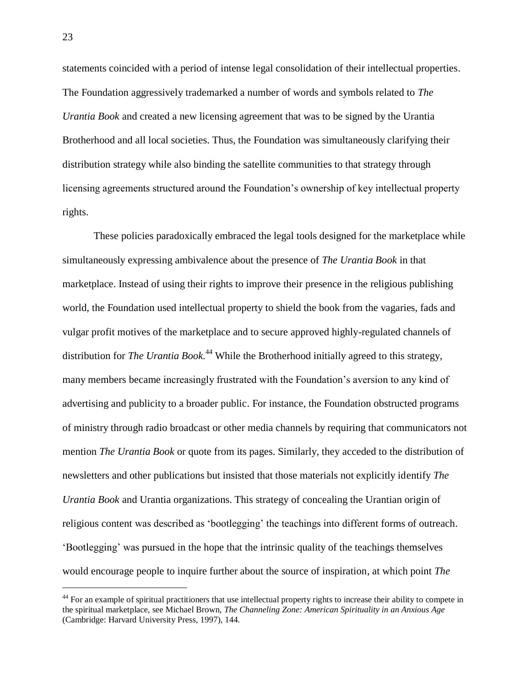statements coincided with a period of intense legal consolidation of their intellectual properties. The Foundation aggressively trademarked a number of words and symbols related to *The Urantia Book* and created a new licensing agreement that was to be signed by the Urantia Brotherhood and all local societies. Thus, the Foundation was simultaneously clarifying their distribution strategy while also binding the satellite communities to that strategy through licensing agreements structured around the Foundation's ownership of key intellectual property rights.

These policies paradoxically embraced the legal tools designed for the marketplace while simultaneously expressing ambivalence about the presence of *The Urantia Book* in that marketplace. Instead of using their rights to improve their presence in the religious publishing world, the Foundation used intellectual property to shield the book from the vagaries, fads and vulgar profit motives of the marketplace and to secure approved highly-regulated channels of distribution for *The Urantia Book*<sup>44</sup> While the Brotherhood initially agreed to this strategy, many members became increasingly frustrated with the Foundation's aversion to any kind of advertising and publicity to a broader public. For instance, the Foundation obstructed programs of ministry through radio broadcast or other media channels by requiring that communicators not mention *The Urantia Book* or quote from its pages. Similarly, they acceded to the distribution of newsletters and other publications but insisted that those materials not explicitly identify *The Urantia Book* and Urantia organizations. This strategy of concealing the Urantian origin of religious content was described as 'bootlegging' the teachings into different forms of outreach. 'Bootlegging' was pursued in the hope that the intrinsic quality of the teachings themselves would encourage people to inquire further about the source of inspiration, at which point *The* 

<sup>&</sup>lt;sup>44</sup> For an example of spiritual practitioners that use intellectual property rights to increase their ability to compete in the spiritual marketplace, see Michael Brown, *The Channeling Zone: American Spirituality in an Anxious Age* (Cambridge: Harvard University Press, 1997), 144.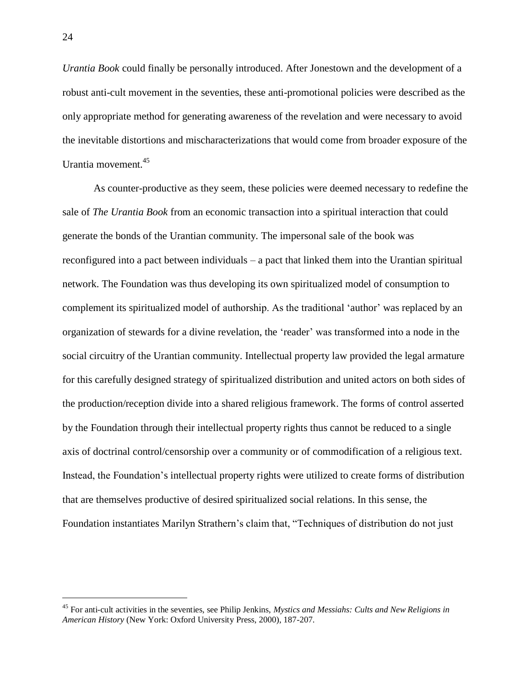*Urantia Book* could finally be personally introduced. After Jonestown and the development of a robust anti-cult movement in the seventies, these anti-promotional policies were described as the only appropriate method for generating awareness of the revelation and were necessary to avoid the inevitable distortions and mischaracterizations that would come from broader exposure of the Urantia movement.<sup>45</sup>

As counter-productive as they seem, these policies were deemed necessary to redefine the sale of *The Urantia Book* from an economic transaction into a spiritual interaction that could generate the bonds of the Urantian community. The impersonal sale of the book was reconfigured into a pact between individuals – a pact that linked them into the Urantian spiritual network. The Foundation was thus developing its own spiritualized model of consumption to complement its spiritualized model of authorship. As the traditional 'author' was replaced by an organization of stewards for a divine revelation, the 'reader' was transformed into a node in the social circuitry of the Urantian community. Intellectual property law provided the legal armature for this carefully designed strategy of spiritualized distribution and united actors on both sides of the production/reception divide into a shared religious framework. The forms of control asserted by the Foundation through their intellectual property rights thus cannot be reduced to a single axis of doctrinal control/censorship over a community or of commodification of a religious text. Instead, the Foundation's intellectual property rights were utilized to create forms of distribution that are themselves productive of desired spiritualized social relations. In this sense, the Foundation instantiates Marilyn Strathern's claim that, "Techniques of distribution do not just

<sup>45</sup> For anti-cult activities in the seventies, see Philip Jenkins, *Mystics and Messiahs: Cults and New Religions in American History* (New York: Oxford University Press, 2000), 187-207.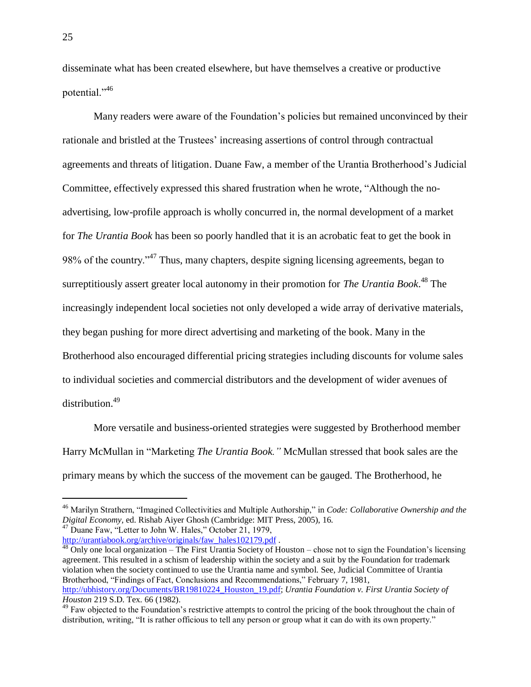disseminate what has been created elsewhere, but have themselves a creative or productive potential."<sup>46</sup>

Many readers were aware of the Foundation's policies but remained unconvinced by their rationale and bristled at the Trustees' increasing assertions of control through contractual agreements and threats of litigation. Duane Faw, a member of the Urantia Brotherhood's Judicial Committee, effectively expressed this shared frustration when he wrote, "Although the noadvertising, low-profile approach is wholly concurred in, the normal development of a market for *The Urantia Book* has been so poorly handled that it is an acrobatic feat to get the book in 98% of the country."<sup>47</sup> Thus, many chapters, despite signing licensing agreements, began to surreptitiously assert greater local autonomy in their promotion for *The Urantia Book*. <sup>48</sup> The increasingly independent local societies not only developed a wide array of derivative materials, they began pushing for more direct advertising and marketing of the book. Many in the Brotherhood also encouraged differential pricing strategies including discounts for volume sales to individual societies and commercial distributors and the development of wider avenues of distribution.<sup>49</sup>

More versatile and business-oriented strategies were suggested by Brotherhood member Harry McMullan in "Marketing *The Urantia Book."* McMullan stressed that book sales are the primary means by which the success of the movement can be gauged. The Brotherhood, he

<sup>46</sup> Marilyn Strathern, "Imagined Collectivities and Multiple Authorship," in *Code: Collaborative Ownership and the Digital Economy,* ed. Rishab Aiyer Ghosh (Cambridge: MIT Press, 2005), 16.  $47$  Duane Faw, "Letter to John W. Hales," October 21, 1979,

[http://urantiabook.org/archive/originals/faw\\_hales102179.pdf](http://urantiabook.org/archive/originals/faw_hales102179.pdf).

 $\overline{O}$  Only one local organization – The First Urantia Society of Houston – chose not to sign the Foundation's licensing agreement. This resulted in a schism of leadership within the society and a suit by the Foundation for trademark violation when the society continued to use the Urantia name and symbol. See, Judicial Committee of Urantia Brotherhood, "Findings of Fact, Conclusions and Recommendations," February 7, 1981, [http://ubhistory.org/Documents/BR19810224\\_Houston\\_19.pdf;](http://ubhistory.org/Documents/BR19810224_Houston_19.pdf) *Urantia Foundation v. First Urantia Society of Houston* 219 S.D. Tex. 66 (1982).

<sup>&</sup>lt;sup>49</sup> Faw objected to the Foundation's restrictive attempts to control the pricing of the book throughout the chain of distribution, writing, "It is rather officious to tell any person or group what it can do with its own property."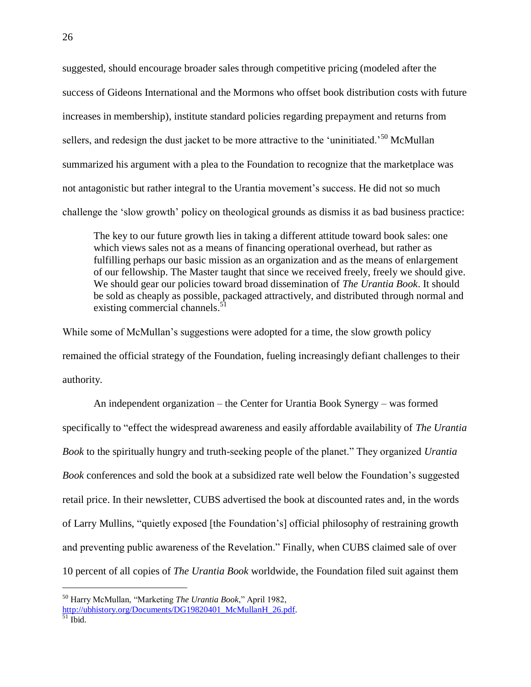suggested, should encourage broader sales through competitive pricing (modeled after the success of Gideons International and the Mormons who offset book distribution costs with future increases in membership), institute standard policies regarding prepayment and returns from sellers, and redesign the dust jacket to be more attractive to the 'uninitiated.<sup>50</sup> McMullan summarized his argument with a plea to the Foundation to recognize that the marketplace was not antagonistic but rather integral to the Urantia movement's success. He did not so much challenge the 'slow growth' policy on theological grounds as dismiss it as bad business practice:

The key to our future growth lies in taking a different attitude toward book sales: one which views sales not as a means of financing operational overhead, but rather as fulfilling perhaps our basic mission as an organization and as the means of enlargement of our fellowship. The Master taught that since we received freely, freely we should give. We should gear our policies toward broad dissemination of *The Urantia Book*. It should be sold as cheaply as possible, packaged attractively, and distributed through normal and existing commercial channels.<sup>51</sup>

While some of McMullan's suggestions were adopted for a time, the slow growth policy remained the official strategy of the Foundation, fueling increasingly defiant challenges to their authority.

An independent organization – the Center for Urantia Book Synergy – was formed specifically to "effect the widespread awareness and easily affordable availability of *The Urantia Book* to the spiritually hungry and truth-seeking people of the planet." They organized *Urantia Book* conferences and sold the book at a subsidized rate well below the Foundation's suggested retail price. In their newsletter, CUBS advertised the book at discounted rates and, in the words of Larry Mullins, "quietly exposed [the Foundation's] official philosophy of restraining growth and preventing public awareness of the Revelation." Finally, when CUBS claimed sale of over 10 percent of all copies of *The Urantia Book* worldwide, the Foundation filed suit against them

<sup>50</sup> Harry McMullan, "Marketing *The Urantia Book*," April 1982,

[http://ubhistory.org/Documents/DG19820401\\_McMullanH\\_26.pdf.](http://ubhistory.org/Documents/DG19820401_McMullanH_26.pdf)

 $51$  Ibid.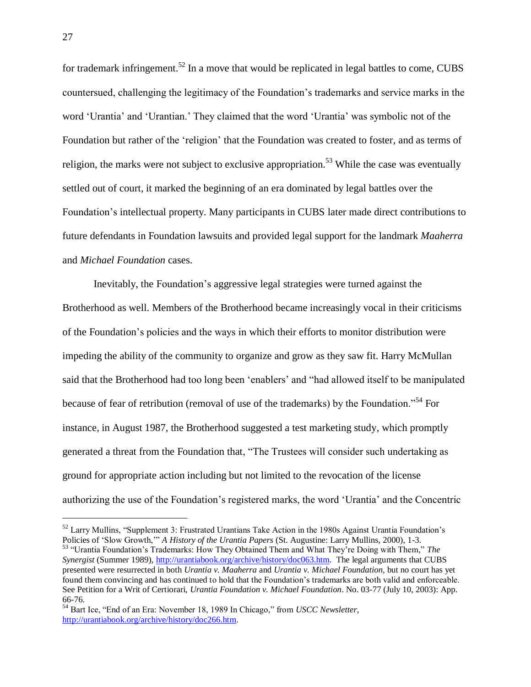for trademark infringement.<sup>52</sup> In a move that would be replicated in legal battles to come, CUBS countersued, challenging the legitimacy of the Foundation's trademarks and service marks in the word 'Urantia' and 'Urantian.' They claimed that the word 'Urantia' was symbolic not of the Foundation but rather of the 'religion' that the Foundation was created to foster, and as terms of religion, the marks were not subject to exclusive appropriation.<sup>53</sup> While the case was eventually settled out of court, it marked the beginning of an era dominated by legal battles over the Foundation's intellectual property. Many participants in CUBS later made direct contributions to future defendants in Foundation lawsuits and provided legal support for the landmark *Maaherra* and *Michael Foundation* cases.

Inevitably, the Foundation's aggressive legal strategies were turned against the Brotherhood as well. Members of the Brotherhood became increasingly vocal in their criticisms of the Foundation's policies and the ways in which their efforts to monitor distribution were impeding the ability of the community to organize and grow as they saw fit. Harry McMullan said that the Brotherhood had too long been 'enablers' and "had allowed itself to be manipulated because of fear of retribution (removal of use of the trademarks) by the Foundation."<sup>54</sup> For instance, in August 1987, the Brotherhood suggested a test marketing study, which promptly generated a threat from the Foundation that, "The Trustees will consider such undertaking as ground for appropriate action including but not limited to the revocation of the license authorizing the use of the Foundation's registered marks, the word 'Urantia' and the Concentric

<sup>&</sup>lt;sup>52</sup> Larry Mullins, "Supplement 3: Frustrated Urantians Take Action in the 1980s Against Urantia Foundation's Policies of 'Slow Growth,'" *A History of the Urantia Papers* (St. Augustine: Larry Mullins, 2000), 1-3.

<sup>53</sup> "Urantia Foundation's Trademarks: How They Obtained Them and What They're Doing with Them," *The Synergist* (Summer 1989), [http://urantiabook.org/archive/history/doc063.htm.](http://urantiabook.org/archive/history/doc063.htm) The legal arguments that CUBS presented were resurrected in both *Urantia v. Maaherra* and *Urantia v. Michael Foundation,* but no court has yet found them convincing and has continued to hold that the Foundation's trademarks are both valid and enforceable. See Petition for a Writ of Certiorari, *Urantia Foundation v. Michael Foundation*. No. 03-77 (July 10, 2003): App. 66-76.

<sup>54</sup> Bart Ice, "End of an Era: November 18, 1989 In Chicago," from *USCC Newsletter*, [http://urantiabook.org/archive/history/doc266.htm.](http://urantiabook.org/archive/history/doc266.htm)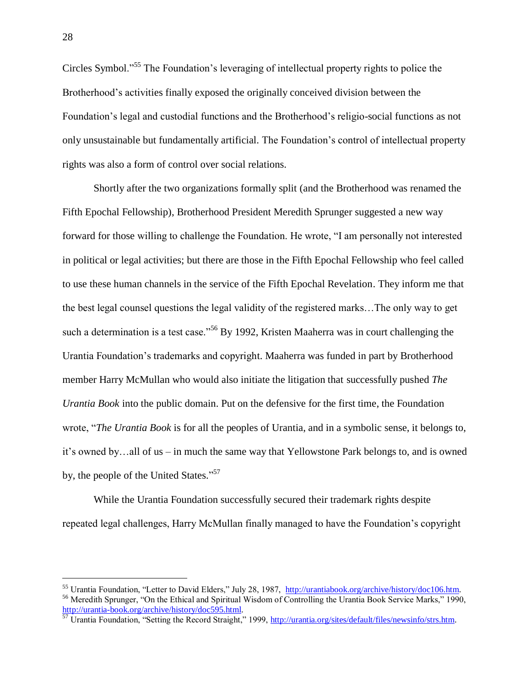Circles Symbol."<sup>55</sup> The Foundation's leveraging of intellectual property rights to police the Brotherhood's activities finally exposed the originally conceived division between the Foundation's legal and custodial functions and the Brotherhood's religio-social functions as not only unsustainable but fundamentally artificial. The Foundation's control of intellectual property rights was also a form of control over social relations.

Shortly after the two organizations formally split (and the Brotherhood was renamed the Fifth Epochal Fellowship), Brotherhood President Meredith Sprunger suggested a new way forward for those willing to challenge the Foundation. He wrote, "I am personally not interested in political or legal activities; but there are those in the Fifth Epochal Fellowship who feel called to use these human channels in the service of the Fifth Epochal Revelation. They inform me that the best legal counsel questions the legal validity of the registered marks…The only way to get such a determination is a test case."<sup>56</sup> By 1992, Kristen Maaherra was in court challenging the Urantia Foundation's trademarks and copyright. Maaherra was funded in part by Brotherhood member Harry McMullan who would also initiate the litigation that successfully pushed *The Urantia Book* into the public domain. Put on the defensive for the first time, the Foundation wrote, "*The Urantia Book* is for all the peoples of Urantia, and in a symbolic sense, it belongs to, it's owned by…all of us – in much the same way that Yellowstone Park belongs to, and is owned by, the people of the United States."<sup>57</sup>

While the Urantia Foundation successfully secured their trademark rights despite repeated legal challenges, Harry McMullan finally managed to have the Foundation's copyright

<sup>55</sup> Urantia Foundation, "Letter to David Elders," July 28, 1987, [http://urantiabook.org/archive/history/doc106.htm.](http://urantiabook.org/archive/history/doc106.htm) <sup>56</sup> Meredith Sprunger, "On the Ethical and Spiritual Wisdom of Controlling the Urantia Book Service Marks," 1990, http://urantia-book.org/archive/history/doc595.html.

<sup>&</sup>lt;sup>57</sup> Urantia Foundation, "Setting the Record Straight," 1999, http://urantia.org/sites/default/files/newsinfo/strs.htm.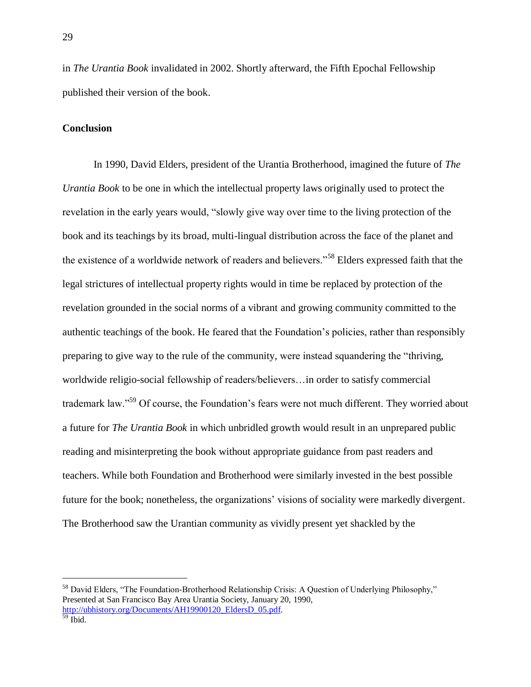in *The Urantia Book* invalidated in 2002. Shortly afterward, the Fifth Epochal Fellowship published their version of the book.

## **Conclusion**

In 1990, David Elders, president of the Urantia Brotherhood, imagined the future of *The Urantia Book* to be one in which the intellectual property laws originally used to protect the revelation in the early years would, "slowly give way over time to the living protection of the book and its teachings by its broad, multi-lingual distribution across the face of the planet and the existence of a worldwide network of readers and believers."<sup>58</sup> Elders expressed faith that the legal strictures of intellectual property rights would in time be replaced by protection of the revelation grounded in the social norms of a vibrant and growing community committed to the authentic teachings of the book. He feared that the Foundation's policies, rather than responsibly preparing to give way to the rule of the community, were instead squandering the "thriving, worldwide religio-social fellowship of readers/believers…in order to satisfy commercial trademark law."<sup>59</sup> Of course, the Foundation's fears were not much different. They worried about a future for *The Urantia Book* in which unbridled growth would result in an unprepared public reading and misinterpreting the book without appropriate guidance from past readers and teachers. While both Foundation and Brotherhood were similarly invested in the best possible future for the book; nonetheless, the organizations' visions of sociality were markedly divergent. The Brotherhood saw the Urantian community as vividly present yet shackled by the

<sup>&</sup>lt;sup>58</sup> David Elders, "The Foundation-Brotherhood Relationship Crisis: A Question of Underlying Philosophy," Presented at San Francisco Bay Area Urantia Society, January 20, 1990, [http://ubhistory.org/Documents/AH19900120\\_EldersD\\_05.pdf.](http://ubhistory.org/Documents/AH19900120_EldersD_05.pdf)

<sup>59</sup> Ibid.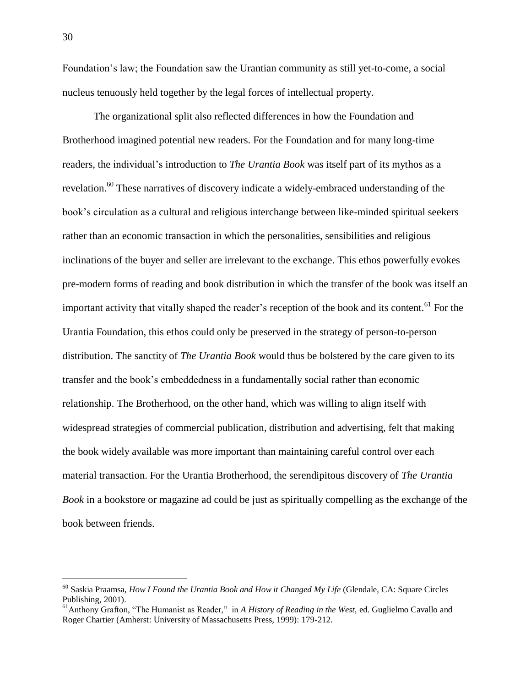Foundation's law; the Foundation saw the Urantian community as still yet-to-come, a social nucleus tenuously held together by the legal forces of intellectual property.

The organizational split also reflected differences in how the Foundation and Brotherhood imagined potential new readers. For the Foundation and for many long-time readers, the individual's introduction to *The Urantia Book* was itself part of its mythos as a revelation.<sup>60</sup> These narratives of discovery indicate a widely-embraced understanding of the book's circulation as a cultural and religious interchange between like-minded spiritual seekers rather than an economic transaction in which the personalities, sensibilities and religious inclinations of the buyer and seller are irrelevant to the exchange. This ethos powerfully evokes pre-modern forms of reading and book distribution in which the transfer of the book was itself an important activity that vitally shaped the reader's reception of the book and its content.<sup>61</sup> For the Urantia Foundation, this ethos could only be preserved in the strategy of person-to-person distribution. The sanctity of *The Urantia Book* would thus be bolstered by the care given to its transfer and the book's embeddedness in a fundamentally social rather than economic relationship. The Brotherhood, on the other hand, which was willing to align itself with widespread strategies of commercial publication, distribution and advertising, felt that making the book widely available was more important than maintaining careful control over each material transaction. For the Urantia Brotherhood, the serendipitous discovery of *The Urantia Book* in a bookstore or magazine ad could be just as spiritually compelling as the exchange of the book between friends.

<sup>60</sup> Saskia Praamsa, *How I Found the Urantia Book and How it Changed My Life* (Glendale, CA: Square Circles Publishing, 2001).

<sup>61</sup>Anthony Grafton, "The Humanist as Reader," in *A History of Reading in the West,* ed. Guglielmo Cavallo and Roger Chartier (Amherst: University of Massachusetts Press, 1999): 179-212.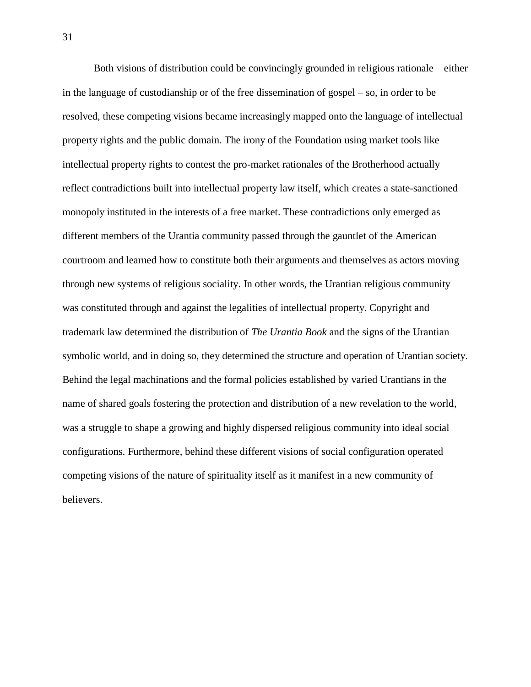Both visions of distribution could be convincingly grounded in religious rationale – either in the language of custodianship or of the free dissemination of gospel – so, in order to be resolved, these competing visions became increasingly mapped onto the language of intellectual property rights and the public domain. The irony of the Foundation using market tools like intellectual property rights to contest the pro-market rationales of the Brotherhood actually reflect contradictions built into intellectual property law itself, which creates a state-sanctioned monopoly instituted in the interests of a free market. These contradictions only emerged as different members of the Urantia community passed through the gauntlet of the American courtroom and learned how to constitute both their arguments and themselves as actors moving through new systems of religious sociality. In other words, the Urantian religious community was constituted through and against the legalities of intellectual property. Copyright and trademark law determined the distribution of *The Urantia Book* and the signs of the Urantian symbolic world, and in doing so, they determined the structure and operation of Urantian society. Behind the legal machinations and the formal policies established by varied Urantians in the name of shared goals fostering the protection and distribution of a new revelation to the world, was a struggle to shape a growing and highly dispersed religious community into ideal social configurations. Furthermore, behind these different visions of social configuration operated competing visions of the nature of spirituality itself as it manifest in a new community of believers.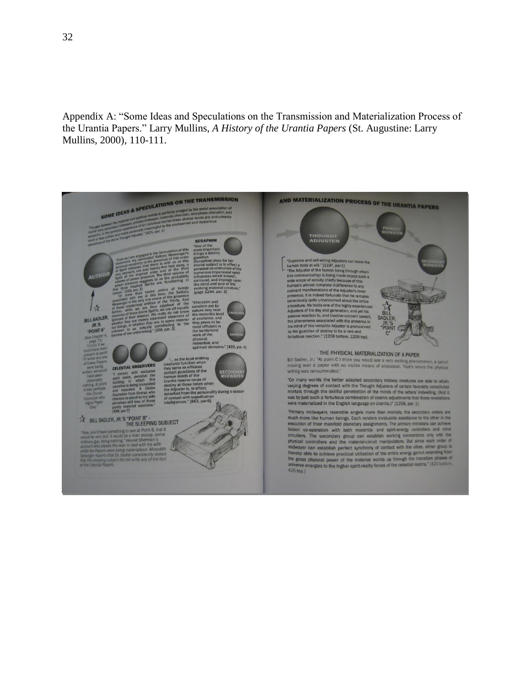Appendix A: "Some Ideas and Speculations on the Transmission and Materialization Process of the Urantia Papers." Larry Mullins, *A History of the Urantia Papers* (St. Augustine: Larry Mullins, 2000), 110-111.

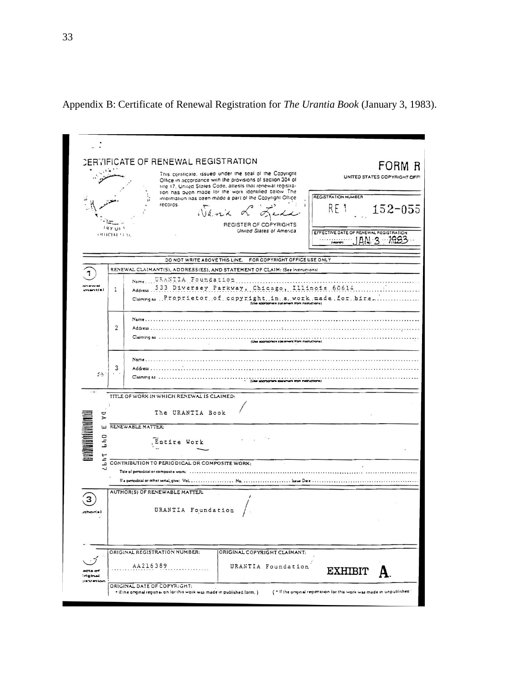|                                                 | CERTIFICATE OF RENEWAL REGISTRATION                                                                                                                                                                                                             |                                                                       |  |  |  |  |
|-------------------------------------------------|-------------------------------------------------------------------------------------------------------------------------------------------------------------------------------------------------------------------------------------------------|-----------------------------------------------------------------------|--|--|--|--|
|                                                 | This certificate, issued under the seal of the Copyright<br>Office in accordance with the provisions of section 304 of<br>title 17. United States Code, attests that renewal registra-<br>tion has been made for the work identified below. The | FORM R<br>UNITED STATES COPYRIGHT OFFI                                |  |  |  |  |
|                                                 | information has been made a part of the Copyright Office<br>records.<br>$N_{4.72}$<br>REGISTER OF COPYRIGHTS                                                                                                                                    | REGISTRATION NUMBER<br>RE 1<br>$152 - 055$                            |  |  |  |  |
| 111 Y U1<br>(91101411)                          | United States of America                                                                                                                                                                                                                        | EFFECTIVE DATE OF RENEWAL REGISTRATION<br>IAN 3 1983                  |  |  |  |  |
|                                                 | DO NOT WRITE ABOVE THIS LINE.                                                                                                                                                                                                                   | FOR COPYRIGHT OFFICE USE ONLY                                         |  |  |  |  |
|                                                 | RENEWAL CLAIMANT(S), ADDRESS(ES), AND STATEMENT OF CLAIM: (See Instructions)                                                                                                                                                                    |                                                                       |  |  |  |  |
| 1                                               | NameURANIIA Foundation<br>.<br>Address 533 Diversey Parkway, Chicago, Illinois 60614<br>$Cl^{sum}$ $\ldots$ Proprietor of copyright.in a vork made for hire                                                                                     |                                                                       |  |  |  |  |
| $\overline{2}$                                  | Address<br>Claiming as<br>(Use appropriate statement from natructions)                                                                                                                                                                          |                                                                       |  |  |  |  |
| 3<br>$\mathbb{Z}^{2n}$ .                        | Name<br>$Addres.$<br>Claiming as                                                                                                                                                                                                                |                                                                       |  |  |  |  |
|                                                 | TITLE OF WORK IN WHICH RENEWAL IS CLAIMED:                                                                                                                                                                                                      |                                                                       |  |  |  |  |
| d<br>$\overline{\phantom{a}}$                   | The URANTIA Book                                                                                                                                                                                                                                |                                                                       |  |  |  |  |
| <b>THE REAL PROPERTY</b><br>$b h$ <sup>0</sup>  | W RENEWABLE MATTER:<br>Entire Work                                                                                                                                                                                                              |                                                                       |  |  |  |  |
| ÷<br>L.                                         | CONTRIBUTION TO PERIODICAL OR COMPOSITE WORK:                                                                                                                                                                                                   |                                                                       |  |  |  |  |
|                                                 | Tele of periodical or composite work:                                                                                                                                                                                                           |                                                                       |  |  |  |  |
|                                                 |                                                                                                                                                                                                                                                 |                                                                       |  |  |  |  |
|                                                 | AUTHOR(S) OF RENEWABLE MATTER:<br>URANTIA Foundation                                                                                                                                                                                            |                                                                       |  |  |  |  |
| nhoris)                                         |                                                                                                                                                                                                                                                 |                                                                       |  |  |  |  |
|                                                 | ORIGINAL REGISTRATION NUMBER:<br>ORIGINAL COPYRIGHT CLAIMANT:                                                                                                                                                                                   |                                                                       |  |  |  |  |
| acts of<br>iniginal<br><i><b>jistration</b></i> | AA216389                                                                                                                                                                                                                                        | URANTIA Foundation<br>EXHIBIT                                         |  |  |  |  |
|                                                 | ORIGINAL DATE OF COPYRIGHT:<br>. If the onginal registration for this work was made in published form, )                                                                                                                                        | ( . If the onginal registration for this work was made in unpublished |  |  |  |  |

Appendix B: Certificate of Renewal Registration for *The Urantia Book* (January 3, 1983).